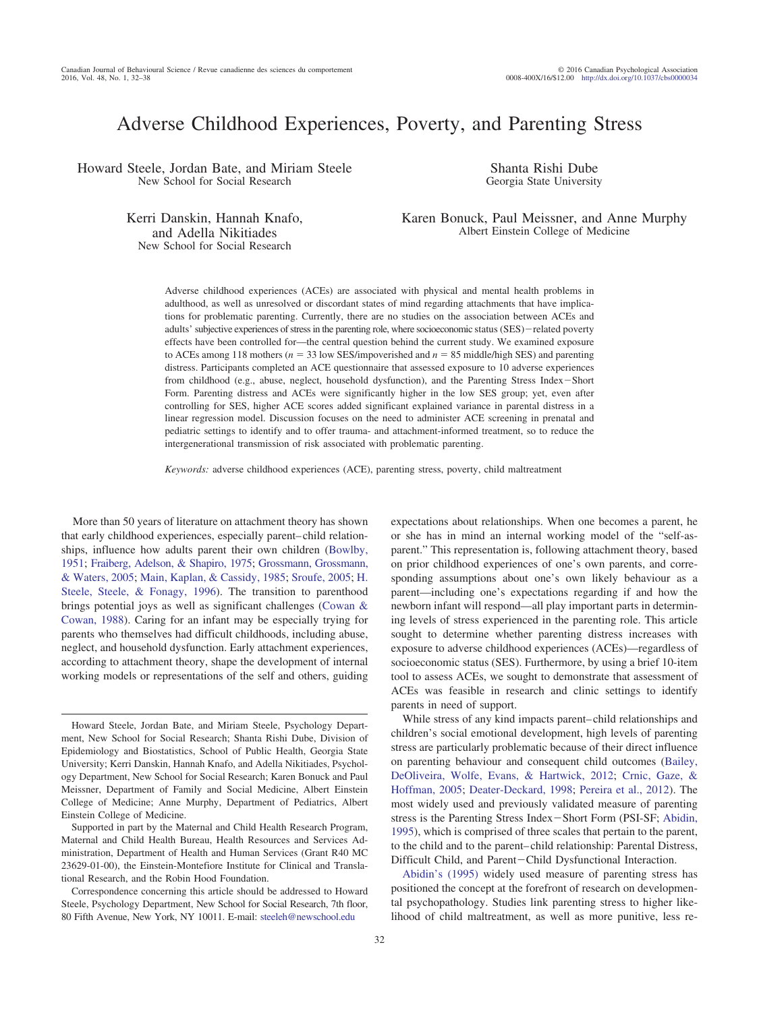# Adverse Childhood Experiences, Poverty, and Parenting Stress

Howard Steele, Jordan Bate, and Miriam Steele New School for Social Research

Shanta Rishi Dube Georgia State University

Kerri Danskin, Hannah Knafo, and Adella Nikitiades New School for Social Research

Karen Bonuck, Paul Meissner, and Anne Murphy Albert Einstein College of Medicine

Adverse childhood experiences (ACEs) are associated with physical and mental health problems in adulthood, as well as unresolved or discordant states of mind regarding attachments that have implications for problematic parenting. Currently, there are no studies on the association between ACEs and adults' subjective experiences of stress in the parenting role, where socioeconomic status (SES)-related poverty effects have been controlled for—the central question behind the current study. We examined exposure to ACEs among 118 mothers ( $n = 33$  low SES/impoverished and  $n = 85$  middle/high SES) and parenting distress. Participants completed an ACE questionnaire that assessed exposure to 10 adverse experiences from childhood (e.g., abuse, neglect, household dysfunction), and the Parenting Stress Index-Short Form. Parenting distress and ACEs were significantly higher in the low SES group; yet, even after controlling for SES, higher ACE scores added significant explained variance in parental distress in a linear regression model. Discussion focuses on the need to administer ACE screening in prenatal and pediatric settings to identify and to offer trauma- and attachment-informed treatment, so to reduce the intergenerational transmission of risk associated with problematic parenting.

*Keywords:* adverse childhood experiences (ACE), parenting stress, poverty, child maltreatment

More than 50 years of literature on attachment theory has shown that early childhood experiences, especially parent– child relationships, influence how adults parent their own children [\(Bowlby,](#page-5-0) [1951;](#page-5-0) [Fraiberg, Adelson, & Shapiro, 1975;](#page-5-1) [Grossmann, Grossmann,](#page-5-2) [& Waters, 2005;](#page-5-2) [Main, Kaplan, & Cassidy, 1985;](#page-6-0) [Sroufe, 2005;](#page-6-1) [H.](#page-6-2) [Steele, Steele, & Fonagy, 1996\)](#page-6-2). The transition to parenthood brings potential joys as well as significant challenges [\(Cowan &](#page-5-3) [Cowan, 1988\)](#page-5-3). Caring for an infant may be especially trying for parents who themselves had difficult childhoods, including abuse, neglect, and household dysfunction. Early attachment experiences, according to attachment theory, shape the development of internal working models or representations of the self and others, guiding

expectations about relationships. When one becomes a parent, he or she has in mind an internal working model of the "self-asparent." This representation is, following attachment theory, based on prior childhood experiences of one's own parents, and corresponding assumptions about one's own likely behaviour as a parent—including one's expectations regarding if and how the newborn infant will respond—all play important parts in determining levels of stress experienced in the parenting role. This article sought to determine whether parenting distress increases with exposure to adverse childhood experiences (ACEs)—regardless of socioeconomic status (SES). Furthermore, by using a brief 10-item tool to assess ACEs, we sought to demonstrate that assessment of ACEs was feasible in research and clinic settings to identify parents in need of support.

While stress of any kind impacts parent– child relationships and children's social emotional development, high levels of parenting stress are particularly problematic because of their direct influence on parenting behaviour and consequent child outcomes [\(Bailey,](#page-5-4) [DeOliveira, Wolfe, Evans, & Hartwick, 2012;](#page-5-4) [Crnic, Gaze, &](#page-5-5) [Hoffman, 2005;](#page-5-5) [Deater-Deckard, 1998;](#page-5-6) [Pereira et al., 2012\)](#page-6-3). The most widely used and previously validated measure of parenting stress is the Parenting Stress Index - Short Form (PSI-SF; [Abidin,](#page-5-7) [1995\)](#page-5-7), which is comprised of three scales that pertain to the parent, to the child and to the parent– child relationship: Parental Distress, Difficult Child, and Parent-Child Dysfunctional Interaction.

[Abidin's \(1995\)](#page-5-7) widely used measure of parenting stress has positioned the concept at the forefront of research on developmental psychopathology. Studies link parenting stress to higher likelihood of child maltreatment, as well as more punitive, less re-

Howard Steele, Jordan Bate, and Miriam Steele, Psychology Department, New School for Social Research; Shanta Rishi Dube, Division of Epidemiology and Biostatistics, School of Public Health, Georgia State University; Kerri Danskin, Hannah Knafo, and Adella Nikitiades, Psychology Department, New School for Social Research; Karen Bonuck and Paul Meissner, Department of Family and Social Medicine, Albert Einstein College of Medicine; Anne Murphy, Department of Pediatrics, Albert Einstein College of Medicine.

Supported in part by the Maternal and Child Health Research Program, Maternal and Child Health Bureau, Health Resources and Services Administration, Department of Health and Human Services (Grant R40 MC 23629-01-00), the Einstein-Montefiore Institute for Clinical and Translational Research, and the Robin Hood Foundation.

Correspondence concerning this article should be addressed to Howard Steele, Psychology Department, New School for Social Research, 7th floor, 80 Fifth Avenue, New York, NY 10011. E-mail: [steeleh@newschool.edu](mailto:steeleh@newschool.edu)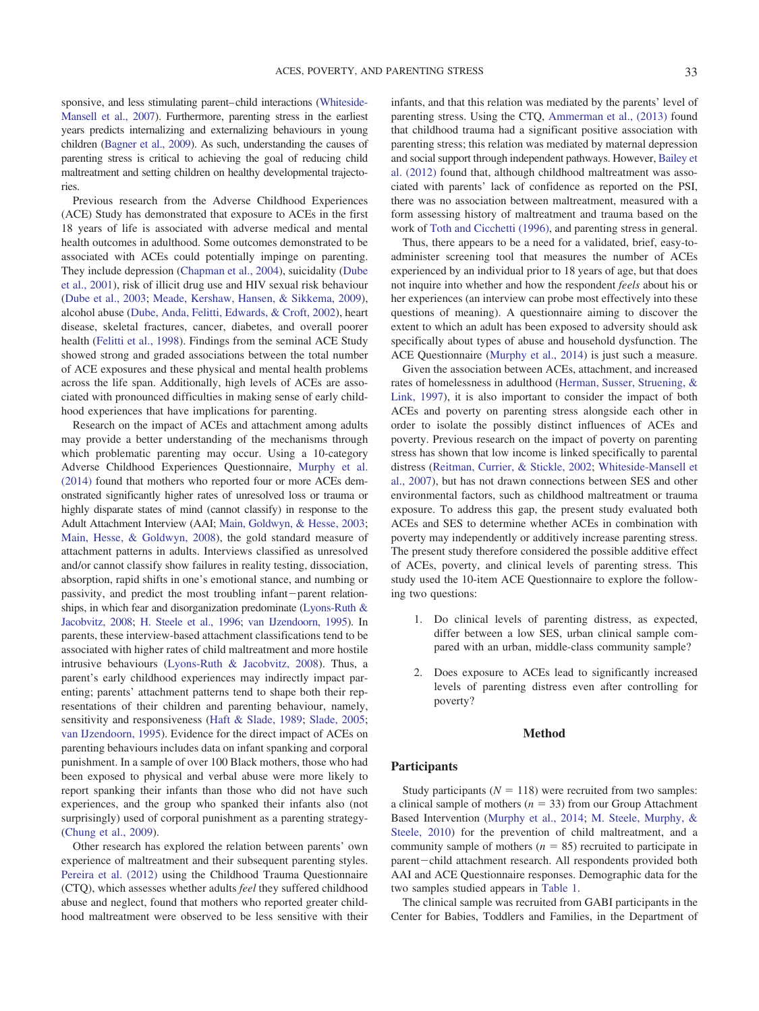sponsive, and less stimulating parent–child interactions [\(Whiteside-](#page-6-4)[Mansell et al., 2007\)](#page-6-4). Furthermore, parenting stress in the earliest years predicts internalizing and externalizing behaviours in young children [\(Bagner et al., 2009\)](#page-5-8). As such, understanding the causes of parenting stress is critical to achieving the goal of reducing child maltreatment and setting children on healthy developmental trajectories.

Previous research from the Adverse Childhood Experiences (ACE) Study has demonstrated that exposure to ACEs in the first 18 years of life is associated with adverse medical and mental health outcomes in adulthood. Some outcomes demonstrated to be associated with ACEs could potentially impinge on parenting. They include depression [\(Chapman et al., 2004\)](#page-5-9), suicidality [\(Dube](#page-5-10) [et al., 2001\)](#page-5-10), risk of illicit drug use and HIV sexual risk behaviour [\(Dube et al., 2003;](#page-5-11) [Meade, Kershaw, Hansen, & Sikkema, 2009\)](#page-6-5), alcohol abuse [\(Dube, Anda, Felitti, Edwards, & Croft, 2002\)](#page-5-12), heart disease, skeletal fractures, cancer, diabetes, and overall poorer health [\(Felitti et al., 1998\)](#page-5-13). Findings from the seminal ACE Study showed strong and graded associations between the total number of ACE exposures and these physical and mental health problems across the life span. Additionally, high levels of ACEs are associated with pronounced difficulties in making sense of early childhood experiences that have implications for parenting.

Research on the impact of ACEs and attachment among adults may provide a better understanding of the mechanisms through which problematic parenting may occur. Using a 10-category Adverse Childhood Experiences Questionnaire, [Murphy et al.](#page-6-6) [\(2014\)](#page-6-6) found that mothers who reported four or more ACEs demonstrated significantly higher rates of unresolved loss or trauma or highly disparate states of mind (cannot classify) in response to the Adult Attachment Interview (AAI; [Main, Goldwyn, &](#page-6-7) Hesse, 2003; [Main, Hesse, & Goldwyn, 2008\)](#page-6-8), the gold standard measure of attachment patterns in adults. Interviews classified as unresolved and/or cannot classify show failures in reality testing, dissociation, absorption, rapid shifts in one's emotional stance, and numbing or passivity, and predict the most troubling infant-parent relationships, in which fear and disorganization predominate [\(Lyons-Ruth &](#page-5-14) [Jacobvitz, 2008;](#page-5-14) [H. Steele et al., 1996;](#page-6-2) [van IJzendoorn, 1995\)](#page-6-9). In parents, these interview-based attachment classifications tend to be associated with higher rates of child maltreatment and more hostile intrusive behaviours [\(Lyons-Ruth & Jacobvitz, 2008\)](#page-5-14). Thus, a parent's early childhood experiences may indirectly impact parenting; parents' attachment patterns tend to shape both their representations of their children and parenting behaviour, namely, sensitivity and responsiveness [\(Haft & Slade, 1989;](#page-5-15) [Slade, 2005;](#page-6-10) [van IJzendoorn, 1995\)](#page-6-9). Evidence for the direct impact of ACEs on parenting behaviours includes data on infant spanking and corporal punishment. In a sample of over 100 Black mothers, those who had been exposed to physical and verbal abuse were more likely to report spanking their infants than those who did not have such experiences, and the group who spanked their infants also (not surprisingly) used of corporal punishment as a parenting strategy- [\(Chung et al., 2009\)](#page-5-16).

Other research has explored the relation between parents' own experience of maltreatment and their subsequent parenting styles. [Pereira et al. \(2012\)](#page-6-3) using the Childhood Trauma Questionnaire (CTQ), which assesses whether adults *feel* they suffered childhood abuse and neglect, found that mothers who reported greater childhood maltreatment were observed to be less sensitive with their infants, and that this relation was mediated by the parents' level of parenting stress. Using the CTQ, [Ammerman et al., \(2013\)](#page-5-17) found that childhood trauma had a significant positive association with parenting stress; this relation was mediated by maternal depression and social support through independent pathways. However, [Bailey et](#page-5-4) [al. \(2012\)](#page-5-4) found that, although childhood maltreatment was associated with parents' lack of confidence as reported on the PSI, there was no association between maltreatment, measured with a form assessing history of maltreatment and trauma based on the work of [Toth and Cicchetti \(1996\),](#page-6-11) and parenting stress in general.

Thus, there appears to be a need for a validated, brief, easy-toadminister screening tool that measures the number of ACEs experienced by an individual prior to 18 years of age, but that does not inquire into whether and how the respondent *feels* about his or her experiences (an interview can probe most effectively into these questions of meaning). A questionnaire aiming to discover the extent to which an adult has been exposed to adversity should ask specifically about types of abuse and household dysfunction. The ACE Questionnaire [\(Murphy et al., 2014\)](#page-6-6) is just such a measure.

Given the association between ACEs, attachment, and increased rates of homelessness in adulthood [\(Herman, Susser, Struening, &](#page-5-18) [Link, 1997\)](#page-5-18), it is also important to consider the impact of both ACEs and poverty on parenting stress alongside each other in order to isolate the possibly distinct influences of ACEs and poverty. Previous research on the impact of poverty on parenting stress has shown that low income is linked specifically to parental distress [\(Reitman, Currier, & Stickle, 2002;](#page-6-12) [Whiteside-Mansell et](#page-6-4) [al., 2007\)](#page-6-4), but has not drawn connections between SES and other environmental factors, such as childhood maltreatment or trauma exposure. To address this gap, the present study evaluated both ACEs and SES to determine whether ACEs in combination with poverty may independently or additively increase parenting stress. The present study therefore considered the possible additive effect of ACEs, poverty, and clinical levels of parenting stress. This study used the 10-item ACE Questionnaire to explore the following two questions:

- 1. Do clinical levels of parenting distress, as expected, differ between a low SES, urban clinical sample compared with an urban, middle-class community sample?
- 2. Does exposure to ACEs lead to significantly increased levels of parenting distress even after controlling for poverty?

#### **Method**

#### **Participants**

Study participants ( $N = 118$ ) were recruited from two samples: a clinical sample of mothers ( $n = 33$ ) from our Group Attachment Based Intervention [\(Murphy et al., 2014;](#page-6-6) [M. Steele, Murphy, &](#page-6-13) [Steele, 2010\)](#page-6-13) for the prevention of child maltreatment, and a community sample of mothers  $(n = 85)$  recruited to participate in parent-child attachment research. All respondents provided both AAI and ACE Questionnaire responses. Demographic data for the two samples studied appears in [Table 1.](#page-2-0)

The clinical sample was recruited from GABI participants in the Center for Babies, Toddlers and Families, in the Department of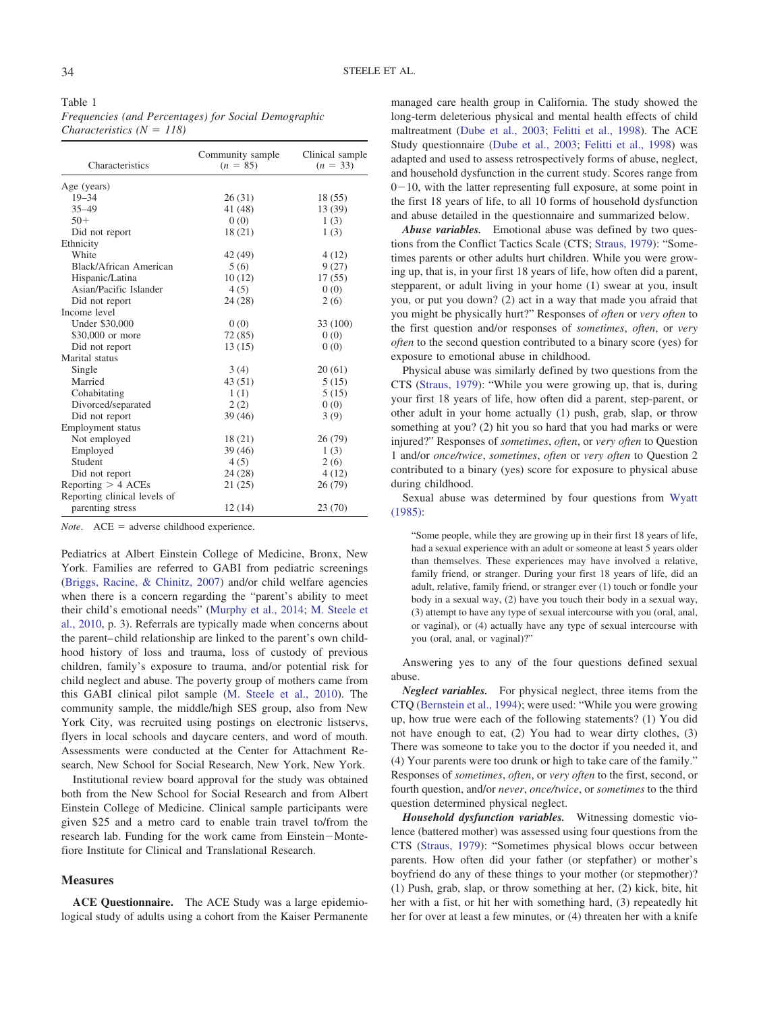<span id="page-2-0"></span>Table 1 *Frequencies (and Percentages) for Social Demographic Characteristics*  $(N = 118)$ 

| Characteristics              | Community sample<br>$(n = 85)$ | Clinical sample<br>$(n = 33)$ |  |
|------------------------------|--------------------------------|-------------------------------|--|
| Age (years)                  |                                |                               |  |
| $19 - 34$                    | 26(31)                         | 18 (55)                       |  |
| $35 - 49$                    | 41 (48)                        | 13 (39)                       |  |
| $50+$                        | 0(0)                           | 1(3)                          |  |
| Did not report               | 18(21)                         | 1(3)                          |  |
| Ethnicity                    |                                |                               |  |
| White                        | 42 (49)                        | 4 (12)                        |  |
| Black/African American       | 5(6)                           | 9(27)                         |  |
| Hispanic/Latina              | 10(12)                         | 17(55)                        |  |
| Asian/Pacific Islander       | 4(5)                           | 0(0)                          |  |
| Did not report               | 24 (28)                        | 2(6)                          |  |
| Income level                 |                                |                               |  |
| Under \$30,000               | 0(0)                           | 33 (100)                      |  |
| \$30,000 or more             | 72 (85)                        | 0(0)                          |  |
| Did not report               | 13(15)                         | 0(0)                          |  |
| Marital status               |                                |                               |  |
| Single                       | 3(4)                           | 20(61)                        |  |
| Married                      | 43 (51)                        | 5(15)                         |  |
| Cohabitating                 | 1(1)                           | 5(15)                         |  |
| Divorced/separated           | 2(2)                           | 0(0)                          |  |
| Did not report               | 39(46)                         | 3(9)                          |  |
| Employment status            |                                |                               |  |
| Not employed                 | 18(21)                         | 26(79)                        |  |
| Employed                     | 39(46)                         | 1(3)                          |  |
| Student                      | 4(5)                           | 2(6)                          |  |
| Did not report               | 24 (28)                        | 4(12)                         |  |
| Reporting $>$ 4 ACEs         | 21(25)                         | 26(79)                        |  |
| Reporting clinical levels of |                                |                               |  |
| parenting stress             | 12(14)                         | 23(70)                        |  |

 $Note.$   $ACE = adverse$  childhood experience.

Pediatrics at Albert Einstein College of Medicine, Bronx, New York. Families are referred to GABI from pediatric screenings [\(Briggs, Racine, & Chinitz, 2007\)](#page-5-19) and/or child welfare agencies when there is a concern regarding the "parent's ability to meet their child's emotional needs" [\(Murphy et al., 2014;](#page-6-6) [M. Steele et](#page-6-13) [al., 2010,](#page-6-13) p. 3). Referrals are typically made when concerns about the parent– child relationship are linked to the parent's own childhood history of loss and trauma, loss of custody of previous children, family's exposure to trauma, and/or potential risk for child neglect and abuse. The poverty group of mothers came from this GABI clinical pilot sample [\(M. Steele et al., 2010\)](#page-6-13). The community sample, the middle/high SES group, also from New York City, was recruited using postings on electronic listservs, flyers in local schools and daycare centers, and word of mouth. Assessments were conducted at the Center for Attachment Research, New School for Social Research, New York, New York.

Institutional review board approval for the study was obtained both from the New School for Social Research and from Albert Einstein College of Medicine. Clinical sample participants were given \$25 and a metro card to enable train travel to/from the research lab. Funding for the work came from Einstein-Montefiore Institute for Clinical and Translational Research.

### **Measures**

**ACE Questionnaire.** The ACE Study was a large epidemiological study of adults using a cohort from the Kaiser Permanente managed care health group in California. The study showed the long-term deleterious physical and mental health effects of child maltreatment [\(Dube et al., 2003;](#page-5-11) [Felitti et al., 1998\)](#page-5-13). The ACE Study questionnaire [\(Dube et al., 2003;](#page-5-11) [Felitti et al., 1998\)](#page-5-13) was adapted and used to assess retrospectively forms of abuse, neglect, and household dysfunction in the current study. Scores range from  $0-10$ , with the latter representing full exposure, at some point in the first 18 years of life, to all 10 forms of household dysfunction and abuse detailed in the questionnaire and summarized below.

*Abuse variables.* Emotional abuse was defined by two questions from the Conflict Tactics Scale (CTS; [Straus, 1979\)](#page-6-14): "Sometimes parents or other adults hurt children. While you were growing up, that is, in your first 18 years of life, how often did a parent, stepparent, or adult living in your home (1) swear at you, insult you, or put you down? (2) act in a way that made you afraid that you might be physically hurt?" Responses of *often* or *very often* to the first question and/or responses of *sometimes*, *often*, or *very often* to the second question contributed to a binary score (yes) for exposure to emotional abuse in childhood.

Physical abuse was similarly defined by two questions from the CTS [\(Straus, 1979\)](#page-6-14): "While you were growing up, that is, during your first 18 years of life, how often did a parent, step-parent, or other adult in your home actually (1) push, grab, slap, or throw something at you? (2) hit you so hard that you had marks or were injured?" Responses of *sometimes*, *often*, or *very often* to Question 1 and/or *once/twice*, *sometimes*, *often* or *very often* to Question 2 contributed to a binary (yes) score for exposure to physical abuse during childhood.

Sexual abuse was determined by four questions from [Wyatt](#page-6-15) [\(1985\):](#page-6-15)

"Some people, while they are growing up in their first 18 years of life, had a sexual experience with an adult or someone at least 5 years older than themselves. These experiences may have involved a relative, family friend, or stranger. During your first 18 years of life, did an adult, relative, family friend, or stranger ever (1) touch or fondle your body in a sexual way, (2) have you touch their body in a sexual way, (3) attempt to have any type of sexual intercourse with you (oral, anal, or vaginal), or (4) actually have any type of sexual intercourse with you (oral, anal, or vaginal)?"

Answering yes to any of the four questions defined sexual abuse.

*Neglect variables.* For physical neglect, three items from the CTQ [\(Bernstein et al., 1994\)](#page-5-20); were used: "While you were growing up, how true were each of the following statements? (1) You did not have enough to eat, (2) You had to wear dirty clothes, (3) There was someone to take you to the doctor if you needed it, and (4) Your parents were too drunk or high to take care of the family." Responses of *sometimes*, *often*, or *very often* to the first, second, or fourth question, and/or *never*, *once/twice*, or *sometimes* to the third question determined physical neglect.

*Household dysfunction variables.* Witnessing domestic violence (battered mother) was assessed using four questions from the CTS [\(Straus, 1979\)](#page-6-14): "Sometimes physical blows occur between parents. How often did your father (or stepfather) or mother's boyfriend do any of these things to your mother (or stepmother)? (1) Push, grab, slap, or throw something at her, (2) kick, bite, hit her with a fist, or hit her with something hard, (3) repeatedly hit her for over at least a few minutes, or (4) threaten her with a knife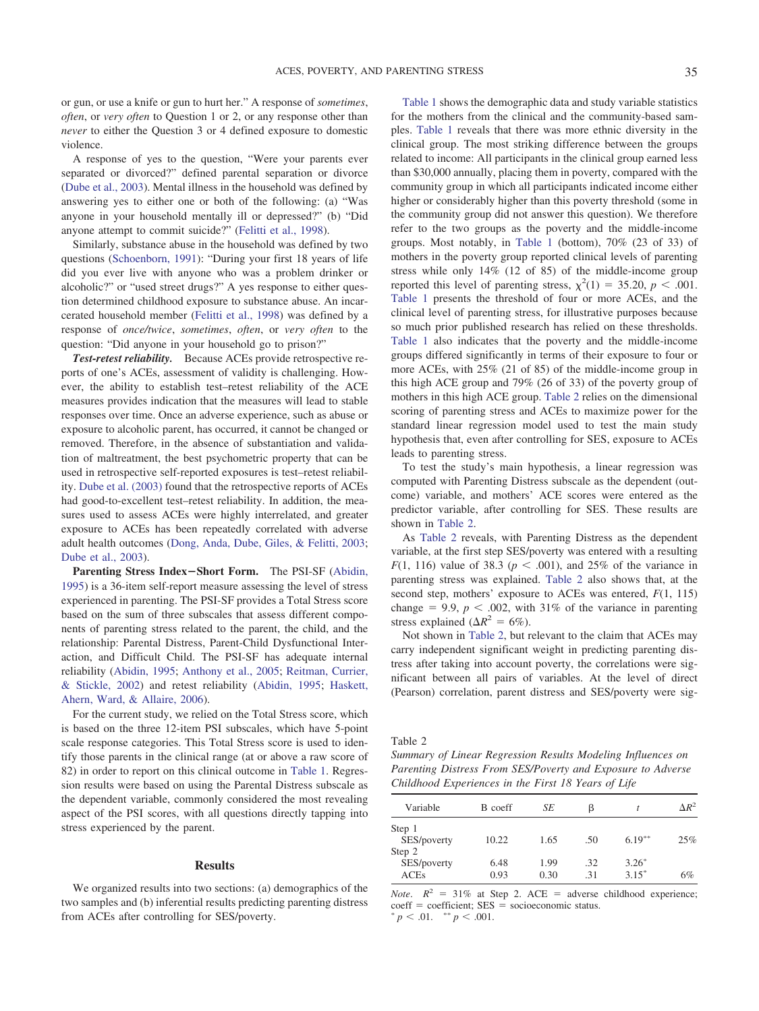or gun, or use a knife or gun to hurt her." A response of *sometimes*, *often*, or *very often* to Question 1 or 2, or any response other than *never* to either the Question 3 or 4 defined exposure to domestic violence.

A response of yes to the question, "Were your parents ever separated or divorced?" defined parental separation or divorce [\(Dube et al., 2003\)](#page-5-11). Mental illness in the household was defined by answering yes to either one or both of the following: (a) "Was anyone in your household mentally ill or depressed?" (b) "Did anyone attempt to commit suicide?" [\(Felitti et al., 1998\)](#page-5-13).

Similarly, substance abuse in the household was defined by two questions [\(Schoenborn, 1991\)](#page-6-16): "During your first 18 years of life did you ever live with anyone who was a problem drinker or alcoholic?" or "used street drugs?" A yes response to either question determined childhood exposure to substance abuse. An incarcerated household member [\(Felitti et al., 1998\)](#page-5-13) was defined by a response of *once/twice*, *sometimes*, *often*, or *very often* to the question: "Did anyone in your household go to prison?"

*Test-retest reliability.* Because ACEs provide retrospective reports of one's ACEs, assessment of validity is challenging. However, the ability to establish test–retest reliability of the ACE measures provides indication that the measures will lead to stable responses over time. Once an adverse experience, such as abuse or exposure to alcoholic parent, has occurred, it cannot be changed or removed. Therefore, in the absence of substantiation and validation of maltreatment, the best psychometric property that can be used in retrospective self-reported exposures is test–retest reliability. [Dube et al. \(2003\)](#page-5-11) found that the retrospective reports of ACEs had good-to-excellent test–retest reliability. In addition, the measures used to assess ACEs were highly interrelated, and greater exposure to ACEs has been repeatedly correlated with adverse adult health outcomes [\(Dong, Anda, Dube, Giles, & Felitti, 2003;](#page-5-21) [Dube et al., 2003\)](#page-5-11).

**Parenting Stress Index-Short Form.** The PSI-SF [\(Abidin,](#page-5-7) [1995\)](#page-5-7) is a 36-item self-report measure assessing the level of stress experienced in parenting. The PSI-SF provides a Total Stress score based on the sum of three subscales that assess different components of parenting stress related to the parent, the child, and the relationship: Parental Distress, Parent-Child Dysfunctional Interaction, and Difficult Child. The PSI-SF has adequate internal reliability [\(Abidin, 1995;](#page-5-7) [Anthony et al., 2005;](#page-5-22) [Reitman, Currier,](#page-6-12) [& Stickle, 2002\)](#page-6-12) and retest reliability [\(Abidin, 1995;](#page-5-7) [Haskett,](#page-5-23) [Ahern, Ward, & Allaire, 2006\)](#page-5-23).

For the current study, we relied on the Total Stress score, which is based on the three 12-item PSI subscales, which have 5-point scale response categories. This Total Stress score is used to identify those parents in the clinical range (at or above a raw score of 82) in order to report on this clinical outcome in [Table 1.](#page-2-0) Regression results were based on using the Parental Distress subscale as the dependent variable, commonly considered the most revealing aspect of the PSI scores, with all questions directly tapping into stress experienced by the parent.

#### **Results**

We organized results into two sections: (a) demographics of the two samples and (b) inferential results predicting parenting distress from ACEs after controlling for SES/poverty.

[Table 1](#page-2-0) shows the demographic data and study variable statistics for the mothers from the clinical and the community-based samples. [Table 1](#page-2-0) reveals that there was more ethnic diversity in the clinical group. The most striking difference between the groups related to income: All participants in the clinical group earned less than \$30,000 annually, placing them in poverty, compared with the community group in which all participants indicated income either higher or considerably higher than this poverty threshold (some in the community group did not answer this question). We therefore refer to the two groups as the poverty and the middle-income groups. Most notably, in [Table 1](#page-2-0) (bottom), 70% (23 of 33) of mothers in the poverty group reported clinical levels of parenting stress while only 14% (12 of 85) of the middle-income group reported this level of parenting stress,  $\chi^2(1) = 35.20, p < .001$ . [Table 1](#page-2-0) presents the threshold of four or more ACEs, and the clinical level of parenting stress, for illustrative purposes because so much prior published research has relied on these thresholds. [Table 1](#page-2-0) also indicates that the poverty and the middle-income groups differed significantly in terms of their exposure to four or more ACEs, with 25% (21 of 85) of the middle-income group in this high ACE group and 79% (26 of 33) of the poverty group of mothers in this high ACE group. [Table 2](#page-3-0) relies on the dimensional scoring of parenting stress and ACEs to maximize power for the standard linear regression model used to test the main study hypothesis that, even after controlling for SES, exposure to ACEs leads to parenting stress.

To test the study's main hypothesis, a linear regression was computed with Parenting Distress subscale as the dependent (outcome) variable, and mothers' ACE scores were entered as the predictor variable, after controlling for SES. These results are shown in [Table 2.](#page-3-0)

As [Table 2](#page-3-0) reveals, with Parenting Distress as the dependent variable, at the first step SES/poverty was entered with a resulting *F*(1, 116) value of 38.3 ( $p < .001$ ), and 25% of the variance in parenting stress was explained. [Table 2](#page-3-0) also shows that, at the second step, mothers' exposure to ACEs was entered, *F*(1, 115) change  $= 9.9$ ,  $p < .002$ , with 31% of the variance in parenting stress explained ( $\Delta R^2 = 6\%$ ).

Not shown in [Table 2,](#page-3-0) but relevant to the claim that ACEs may carry independent significant weight in predicting parenting distress after taking into account poverty, the correlations were significant between all pairs of variables. At the level of direct (Pearson) correlation, parent distress and SES/poverty were sig-

<span id="page-3-0"></span>Table 2

*Summary of Linear Regression Results Modeling Influences on Parenting Distress From SES/Poverty and Exposure to Adverse Childhood Experiences in the First 18 Years of Life*

| Variable    | B coeff | SE   | ß   |           | $\Delta R^2$ |
|-------------|---------|------|-----|-----------|--------------|
| Step 1      |         |      |     |           |              |
| SES/poverty | 10.22   | 1.65 | .50 | $6.19***$ | 25%          |
| Step 2      |         |      |     |           |              |
| SES/poverty | 6.48    | 1.99 | .32 | $3.26*$   |              |
| ACEs        | 0.93    | 0.30 | .31 | $3.15*$   | 6%           |

*Note*.  $R^2 = 31\%$  at Step 2. ACE = adverse childhood experience; coeff = coefficient; SES = socioeconomic status.<br>  $p < .01$ .  $m_p < .001$ .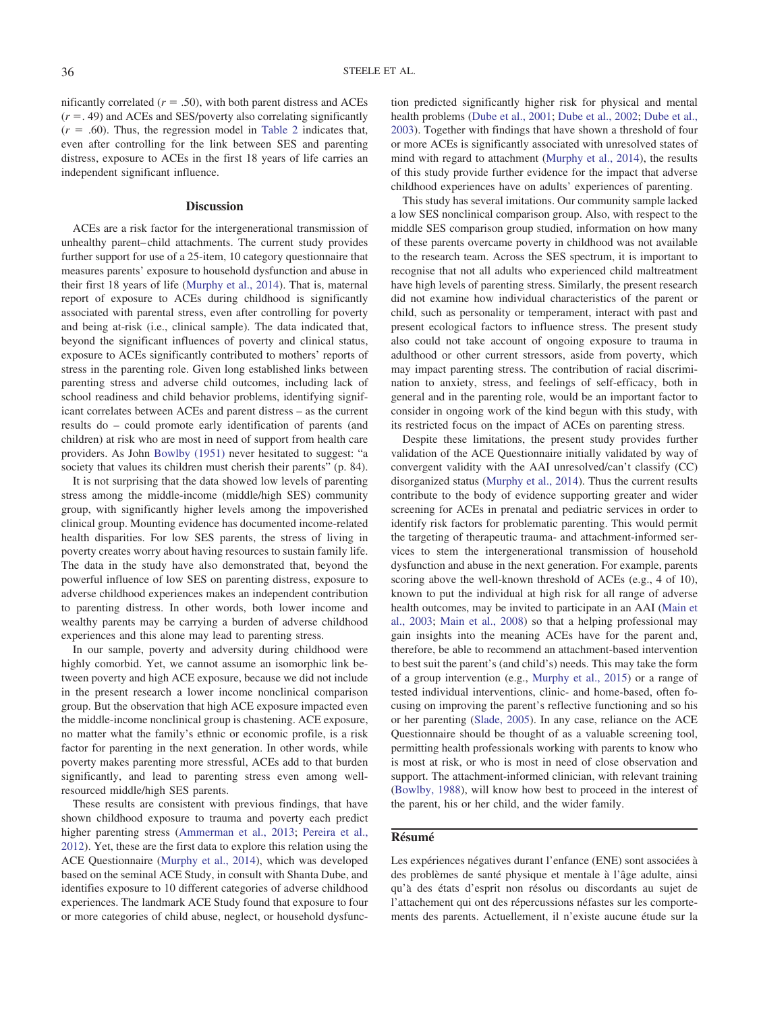nificantly correlated  $(r = .50)$ , with both parent distress and ACEs  $(r = .49)$  and ACEs and SES/poverty also correlating significantly  $(r = .60)$ . Thus, the regression model in [Table 2](#page-3-0) indicates that, even after controlling for the link between SES and parenting distress, exposure to ACEs in the first 18 years of life carries an independent significant influence.

#### **Discussion**

ACEs are a risk factor for the intergenerational transmission of unhealthy parent– child attachments. The current study provides further support for use of a 25-item, 10 category questionnaire that measures parents' exposure to household dysfunction and abuse in their first 18 years of life [\(Murphy et al., 2014\)](#page-6-6). That is, maternal report of exposure to ACEs during childhood is significantly associated with parental stress, even after controlling for poverty and being at-risk (i.e., clinical sample). The data indicated that, beyond the significant influences of poverty and clinical status, exposure to ACEs significantly contributed to mothers' reports of stress in the parenting role. Given long established links between parenting stress and adverse child outcomes, including lack of school readiness and child behavior problems, identifying significant correlates between ACEs and parent distress – as the current results do – could promote early identification of parents (and children) at risk who are most in need of support from health care providers. As John [Bowlby \(1951\)](#page-5-0) never hesitated to suggest: "a society that values its children must cherish their parents" (p. 84).

It is not surprising that the data showed low levels of parenting stress among the middle-income (middle/high SES) community group, with significantly higher levels among the impoverished clinical group. Mounting evidence has documented income-related health disparities. For low SES parents, the stress of living in poverty creates worry about having resources to sustain family life. The data in the study have also demonstrated that, beyond the powerful influence of low SES on parenting distress, exposure to adverse childhood experiences makes an independent contribution to parenting distress. In other words, both lower income and wealthy parents may be carrying a burden of adverse childhood experiences and this alone may lead to parenting stress.

In our sample, poverty and adversity during childhood were highly comorbid. Yet, we cannot assume an isomorphic link between poverty and high ACE exposure, because we did not include in the present research a lower income nonclinical comparison group. But the observation that high ACE exposure impacted even the middle-income nonclinical group is chastening. ACE exposure, no matter what the family's ethnic or economic profile, is a risk factor for parenting in the next generation. In other words, while poverty makes parenting more stressful, ACEs add to that burden significantly, and lead to parenting stress even among wellresourced middle/high SES parents.

These results are consistent with previous findings, that have shown childhood exposure to trauma and poverty each predict higher parenting stress [\(Ammerman et al., 2013;](#page-5-17) [Pereira et al.,](#page-6-3) [2012\)](#page-6-3). Yet, these are the first data to explore this relation using the ACE Questionnaire [\(Murphy et al., 2014\)](#page-6-6), which was developed based on the seminal ACE Study, in consult with Shanta Dube, and identifies exposure to 10 different categories of adverse childhood experiences. The landmark ACE Study found that exposure to four or more categories of child abuse, neglect, or household dysfunction predicted significantly higher risk for physical and mental health problems [\(Dube et al., 2001;](#page-5-10) [Dube et al., 2002;](#page-5-12) [Dube et al.,](#page-5-11) [2003\)](#page-5-11). Together with findings that have shown a threshold of four or more ACEs is significantly associated with unresolved states of mind with regard to attachment [\(Murphy et al., 2014\)](#page-6-6), the results of this study provide further evidence for the impact that adverse childhood experiences have on adults' experiences of parenting.

This study has several imitations. Our community sample lacked a low SES nonclinical comparison group. Also, with respect to the middle SES comparison group studied, information on how many of these parents overcame poverty in childhood was not available to the research team. Across the SES spectrum, it is important to recognise that not all adults who experienced child maltreatment have high levels of parenting stress. Similarly, the present research did not examine how individual characteristics of the parent or child, such as personality or temperament, interact with past and present ecological factors to influence stress. The present study also could not take account of ongoing exposure to trauma in adulthood or other current stressors, aside from poverty, which may impact parenting stress. The contribution of racial discrimination to anxiety, stress, and feelings of self-efficacy, both in general and in the parenting role, would be an important factor to consider in ongoing work of the kind begun with this study, with its restricted focus on the impact of ACEs on parenting stress.

Despite these limitations, the present study provides further validation of the ACE Questionnaire initially validated by way of convergent validity with the AAI unresolved/can't classify (CC) disorganized status [\(Murphy et al., 2014\)](#page-6-6). Thus the current results contribute to the body of evidence supporting greater and wider screening for ACEs in prenatal and pediatric services in order to identify risk factors for problematic parenting. This would permit the targeting of therapeutic trauma- and attachment-informed services to stem the intergenerational transmission of household dysfunction and abuse in the next generation. For example, parents scoring above the well-known threshold of ACEs (e.g., 4 of 10), known to put the individual at high risk for all range of adverse health outcomes, may be invited to participate in an AAI [\(Main et](#page-6-7) [al., 2003;](#page-6-7) [Main et al., 2008\)](#page-6-8) so that a helping professional may gain insights into the meaning ACEs have for the parent and, therefore, be able to recommend an attachment-based intervention to best suit the parent's (and child's) needs. This may take the form of a group intervention (e.g., [Murphy et al., 2015\)](#page-6-17) or a range of tested individual interventions, clinic- and home-based, often focusing on improving the parent's reflective functioning and so his or her parenting [\(Slade, 2005\)](#page-6-10). In any case, reliance on the ACE Questionnaire should be thought of as a valuable screening tool, permitting health professionals working with parents to know who is most at risk, or who is most in need of close observation and support. The attachment-informed clinician, with relevant training [\(Bowlby, 1988\)](#page-5-24), will know how best to proceed in the interest of the parent, his or her child, and the wider family.

### **Résumé**

Les expériences négatives durant l'enfance (ENE) sont associées a` des problèmes de santé physique et mentale à l'âge adulte, ainsi qu'a` des états d'esprit non résolus ou discordants au sujet de l'attachement qui ont des répercussions néfastes sur les comportements des parents. Actuellement, il n'existe aucune étude sur la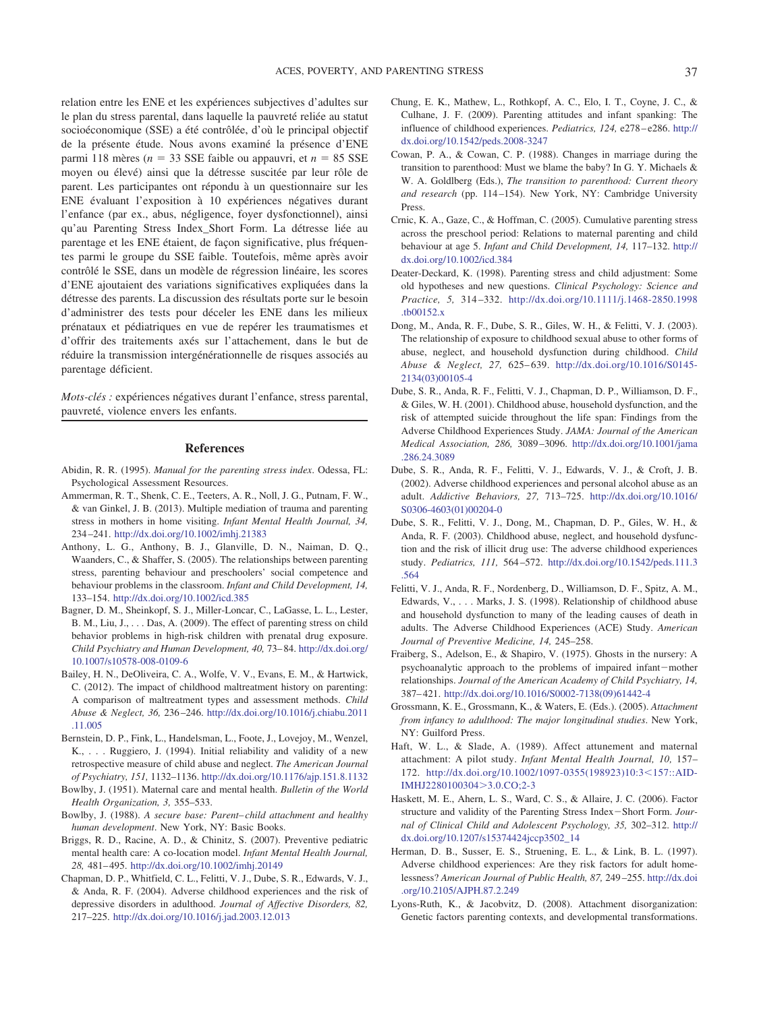relation entre les ENE et les expériences subjectives d'adultes sur le plan du stress parental, dans laquelle la pauvreté reliée au statut socioéconomique (SSE) a été contrôlée, d'où le principal objectif de la présente étude. Nous avons examiné la présence d'ENE parmi 118 mères ( $n = 33$  SSE faible ou appauvri, et  $n = 85$  SSE moyen ou élevé) ainsi que la détresse suscitée par leur rôle de parent. Les participantes ont répondu à un questionnaire sur les ENE évaluant l'exposition a` 10 expériences négatives durant l'enfance (par ex., abus, négligence, foyer dysfonctionnel), ainsi qu'au Parenting Stress Index\_Short Form. La détresse liée au parentage et les ENE étaient, de façon significative, plus fréquentes parmi le groupe du SSE faible. Toutefois, même après avoir contrôlé le SSE, dans un modèle de régression linéaire, les scores d'ENE ajoutaient des variations significatives expliquées dans la détresse des parents. La discussion des résultats porte sur le besoin d'administrer des tests pour déceler les ENE dans les milieux prénataux et pédiatriques en vue de repérer les traumatismes et d'offrir des traitements axés sur l'attachement, dans le but de réduire la transmission intergénérationnelle de risques associés au parentage déficient.

*Mots-clés :* expériences négatives durant l'enfance, stress parental, pauvreté, violence envers les enfants.

### **References**

- <span id="page-5-17"></span><span id="page-5-7"></span>Abidin, R. R. (1995). *Manual for the parenting stress index*. Odessa, FL: Psychological Assessment Resources.
- Ammerman, R. T., Shenk, C. E., Teeters, A. R., Noll, J. G., Putnam, F. W., & van Ginkel, J. B. (2013). Multiple mediation of trauma and parenting stress in mothers in home visiting. *Infant Mental Health Journal, 34,* 234 –241. <http://dx.doi.org/10.1002/imhj.21383>
- <span id="page-5-22"></span>Anthony, L. G., Anthony, B. J., Glanville, D. N., Naiman, D. Q., Waanders, C., & Shaffer, S. (2005). The relationships between parenting stress, parenting behaviour and preschoolers' social competence and behaviour problems in the classroom. *Infant and Child Development, 14,* 133–154. <http://dx.doi.org/10.1002/icd.385>
- <span id="page-5-8"></span>Bagner, D. M., Sheinkopf, S. J., Miller-Loncar, C., LaGasse, L. L., Lester, B. M., Liu, J.,... Das, A. (2009). The effect of parenting stress on child behavior problems in high-risk children with prenatal drug exposure. *Child Psychiatry and Human Development, 40,* 73– 84. [http://dx.doi.org/](http://dx.doi.org/10.1007/s10578-008-0109-6) [10.1007/s10578-008-0109-6](http://dx.doi.org/10.1007/s10578-008-0109-6)
- <span id="page-5-4"></span>Bailey, H. N., DeOliveira, C. A., Wolfe, V. V., Evans, E. M., & Hartwick, C. (2012). The impact of childhood maltreatment history on parenting: A comparison of maltreatment types and assessment methods. *Child Abuse & Neglect, 36,* 236 –246. [http://dx.doi.org/10.1016/j.chiabu.2011](http://dx.doi.org/10.1016/j.chiabu.2011.11.005) [.11.005](http://dx.doi.org/10.1016/j.chiabu.2011.11.005)
- <span id="page-5-20"></span>Bernstein, D. P., Fink, L., Handelsman, L., Foote, J., Lovejoy, M., Wenzel, K., . . . Ruggiero, J. (1994). Initial reliability and validity of a new retrospective measure of child abuse and neglect. *The American Journal of Psychiatry, 151,* 1132–1136. <http://dx.doi.org/10.1176/ajp.151.8.1132>
- <span id="page-5-24"></span><span id="page-5-0"></span>Bowlby, J. (1951). Maternal care and mental health. *Bulletin of the World Health Organization, 3,* 355–533.
- <span id="page-5-19"></span>Bowlby, J. (1988). *A secure base: Parent– child attachment and healthy human development*. New York, NY: Basic Books.
- <span id="page-5-9"></span>Briggs, R. D., Racine, A. D., & Chinitz, S. (2007). Preventive pediatric mental health care: A co-location model. *Infant Mental Health Journal, 28,* 481– 495. <http://dx.doi.org/10.1002/imhj.20149>
- Chapman, D. P., Whitfield, C. L., Felitti, V. J., Dube, S. R., Edwards, V. J., & Anda, R. F. (2004). Adverse childhood experiences and the risk of depressive disorders in adulthood. *Journal of Affective Disorders, 82,* 217–225. <http://dx.doi.org/10.1016/j.jad.2003.12.013>
- <span id="page-5-16"></span>Chung, E. K., Mathew, L., Rothkopf, A. C., Elo, I. T., Coyne, J. C., & Culhane, J. F. (2009). Parenting attitudes and infant spanking: The influence of childhood experiences. *Pediatrics, 124,* e278 – e286. [http://](http://dx.doi.org/10.1542/peds.2008-3247) [dx.doi.org/10.1542/peds.2008-3247](http://dx.doi.org/10.1542/peds.2008-3247)
- <span id="page-5-3"></span>Cowan, P. A., & Cowan, C. P. (1988). Changes in marriage during the transition to parenthood: Must we blame the baby? In G. Y. Michaels & W. A. Goldlberg (Eds.), *The transition to parenthood: Current theory* and research (pp. 114-154). New York, NY: Cambridge University Press.
- <span id="page-5-5"></span>Crnic, K. A., Gaze, C., & Hoffman, C. (2005). Cumulative parenting stress across the preschool period: Relations to maternal parenting and child behaviour at age 5. *Infant and Child Development, 14,* 117–132. [http://](http://dx.doi.org/10.1002/icd.384) [dx.doi.org/10.1002/icd.384](http://dx.doi.org/10.1002/icd.384)
- <span id="page-5-6"></span>Deater-Deckard, K. (1998). Parenting stress and child adjustment: Some old hypotheses and new questions. *Clinical Psychology: Science and Practice, 5,* 314 –332. [http://dx.doi.org/10.1111/j.1468-2850.1998](http://dx.doi.org/10.1111/j.1468-2850.1998.tb00152.x) [.tb00152.x](http://dx.doi.org/10.1111/j.1468-2850.1998.tb00152.x)
- <span id="page-5-21"></span>Dong, M., Anda, R. F., Dube, S. R., Giles, W. H., & Felitti, V. J. (2003). The relationship of exposure to childhood sexual abuse to other forms of abuse, neglect, and household dysfunction during childhood. *Child Abuse & Neglect, 27,* 625– 639. [http://dx.doi.org/10.1016/S0145-](http://dx.doi.org/10.1016/S0145-2134%2803%2900105-4) [2134\(03\)00105-4](http://dx.doi.org/10.1016/S0145-2134%2803%2900105-4)
- <span id="page-5-10"></span>Dube, S. R., Anda, R. F., Felitti, V. J., Chapman, D. P., Williamson, D. F., & Giles, W. H. (2001). Childhood abuse, household dysfunction, and the risk of attempted suicide throughout the life span: Findings from the Adverse Childhood Experiences Study. *JAMA: Journal of the American Medical Association, 286,* 3089 –3096. [http://dx.doi.org/10.1001/jama](http://dx.doi.org/10.1001/jama.286.24.3089) [.286.24.3089](http://dx.doi.org/10.1001/jama.286.24.3089)
- <span id="page-5-12"></span>Dube, S. R., Anda, R. F., Felitti, V. J., Edwards, V. J., & Croft, J. B. (2002). Adverse childhood experiences and personal alcohol abuse as an adult. *Addictive Behaviors, 27,* 713–725. [http://dx.doi.org/10.1016/](http://dx.doi.org/10.1016/S0306-4603%2801%2900204-0) [S0306-4603\(01\)00204-0](http://dx.doi.org/10.1016/S0306-4603%2801%2900204-0)
- <span id="page-5-11"></span>Dube, S. R., Felitti, V. J., Dong, M., Chapman, D. P., Giles, W. H., & Anda, R. F. (2003). Childhood abuse, neglect, and household dysfunction and the risk of illicit drug use: The adverse childhood experiences study. *Pediatrics, 111,* 564 –572. [http://dx.doi.org/10.1542/peds.111.3](http://dx.doi.org/10.1542/peds.111.3.564) [.564](http://dx.doi.org/10.1542/peds.111.3.564)
- <span id="page-5-13"></span>Felitti, V. J., Anda, R. F., Nordenberg, D., Williamson, D. F., Spitz, A. M., Edwards, V.,... Marks, J. S. (1998). Relationship of childhood abuse and household dysfunction to many of the leading causes of death in adults. The Adverse Childhood Experiences (ACE) Study. *American Journal of Preventive Medicine, 14,* 245–258.
- <span id="page-5-1"></span>Fraiberg, S., Adelson, E., & Shapiro, V. (1975). Ghosts in the nursery: A psychoanalytic approach to the problems of impaired infant-mother relationships. *Journal of the American Academy of Child Psychiatry, 14,* 387– 421. [http://dx.doi.org/10.1016/S0002-7138\(09\)61442-4](http://dx.doi.org/10.1016/S0002-7138%2809%2961442-4)
- <span id="page-5-2"></span>Grossmann, K. E., Grossmann, K., & Waters, E. (Eds.). (2005). *Attachment from infancy to adulthood: The major longitudinal studies*. New York, NY: Guilford Press.
- <span id="page-5-15"></span>Haft, W. L., & Slade, A. (1989). Affect attunement and maternal attachment: A pilot study. *Infant Mental Health Journal, 10,* 157– 172. [http://dx.doi.org/10.1002/1097-0355\(198923\)10:3](http://dx.doi.org/10.1002/1097-0355%28198923%2910:3%3C157::AID-IMHJ2280100304%3E3.0.CO;2-3)&157::AID-[IMHJ2280100304](http://dx.doi.org/10.1002/1097-0355%28198923%2910:3%3C157::AID-IMHJ2280100304%3E3.0.CO;2-3)>3.0.CO;2-3
- <span id="page-5-23"></span>Haskett, M. E., Ahern, L. S., Ward, C. S., & Allaire, J. C. (2006). Factor structure and validity of the Parenting Stress Index-Short Form. *Journal of Clinical Child and Adolescent Psychology, 35,* 302–312. [http://](http://dx.doi.org/10.1207/s15374424jccp3502_14) [dx.doi.org/10.1207/s15374424jccp3502\\_14](http://dx.doi.org/10.1207/s15374424jccp3502_14)
- <span id="page-5-18"></span>Herman, D. B., Susser, E. S., Struening, E. L., & Link, B. L. (1997). Adverse childhood experiences: Are they risk factors for adult homelessness? *American Journal of Public Health, 87,* 249 –255. [http://dx.doi](http://dx.doi.org/10.2105/AJPH.87.2.249) [.org/10.2105/AJPH.87.2.249](http://dx.doi.org/10.2105/AJPH.87.2.249)
- <span id="page-5-14"></span>Lyons-Ruth, K., & Jacobvitz, D. (2008). Attachment disorganization: Genetic factors parenting contexts, and developmental transformations.